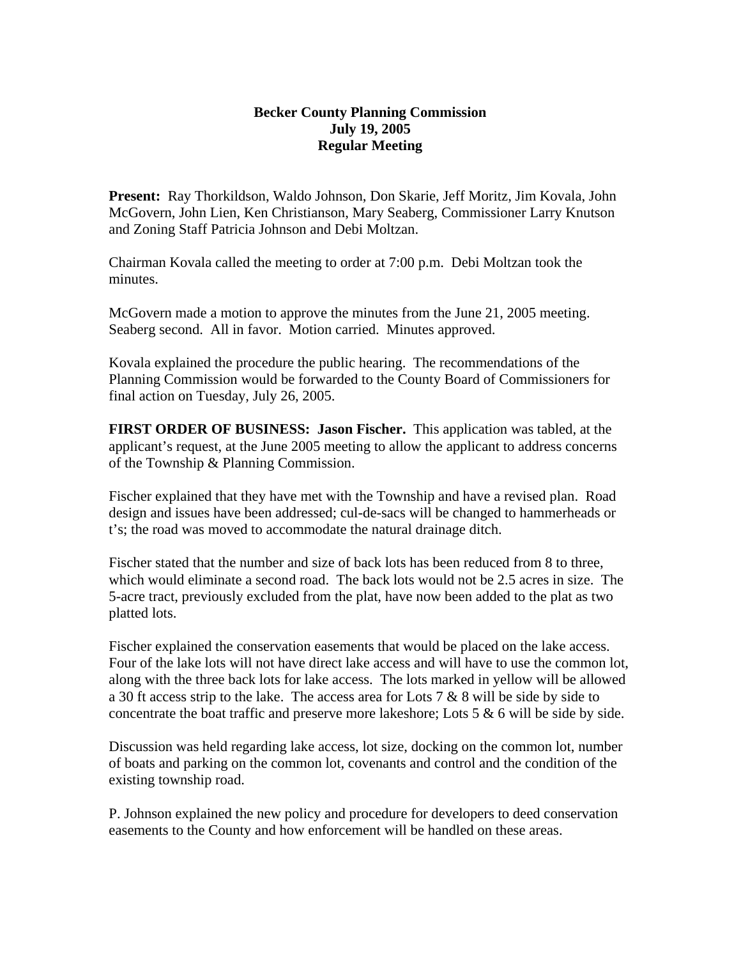## **Becker County Planning Commission July 19, 2005 Regular Meeting**

**Present:** Ray Thorkildson, Waldo Johnson, Don Skarie, Jeff Moritz, Jim Kovala, John McGovern, John Lien, Ken Christianson, Mary Seaberg, Commissioner Larry Knutson and Zoning Staff Patricia Johnson and Debi Moltzan.

Chairman Kovala called the meeting to order at 7:00 p.m. Debi Moltzan took the minutes.

McGovern made a motion to approve the minutes from the June 21, 2005 meeting. Seaberg second. All in favor. Motion carried. Minutes approved.

Kovala explained the procedure the public hearing. The recommendations of the Planning Commission would be forwarded to the County Board of Commissioners for final action on Tuesday, July 26, 2005.

**FIRST ORDER OF BUSINESS: Jason Fischer.** This application was tabled, at the applicant's request, at the June 2005 meeting to allow the applicant to address concerns of the Township & Planning Commission.

Fischer explained that they have met with the Township and have a revised plan. Road design and issues have been addressed; cul-de-sacs will be changed to hammerheads or t's; the road was moved to accommodate the natural drainage ditch.

Fischer stated that the number and size of back lots has been reduced from 8 to three, which would eliminate a second road. The back lots would not be 2.5 acres in size. The 5-acre tract, previously excluded from the plat, have now been added to the plat as two platted lots.

Fischer explained the conservation easements that would be placed on the lake access. Four of the lake lots will not have direct lake access and will have to use the common lot, along with the three back lots for lake access. The lots marked in yellow will be allowed a 30 ft access strip to the lake. The access area for Lots 7  $\&$  8 will be side by side to concentrate the boat traffic and preserve more lakeshore; Lots  $5 \& 6$  will be side by side.

Discussion was held regarding lake access, lot size, docking on the common lot, number of boats and parking on the common lot, covenants and control and the condition of the existing township road.

P. Johnson explained the new policy and procedure for developers to deed conservation easements to the County and how enforcement will be handled on these areas.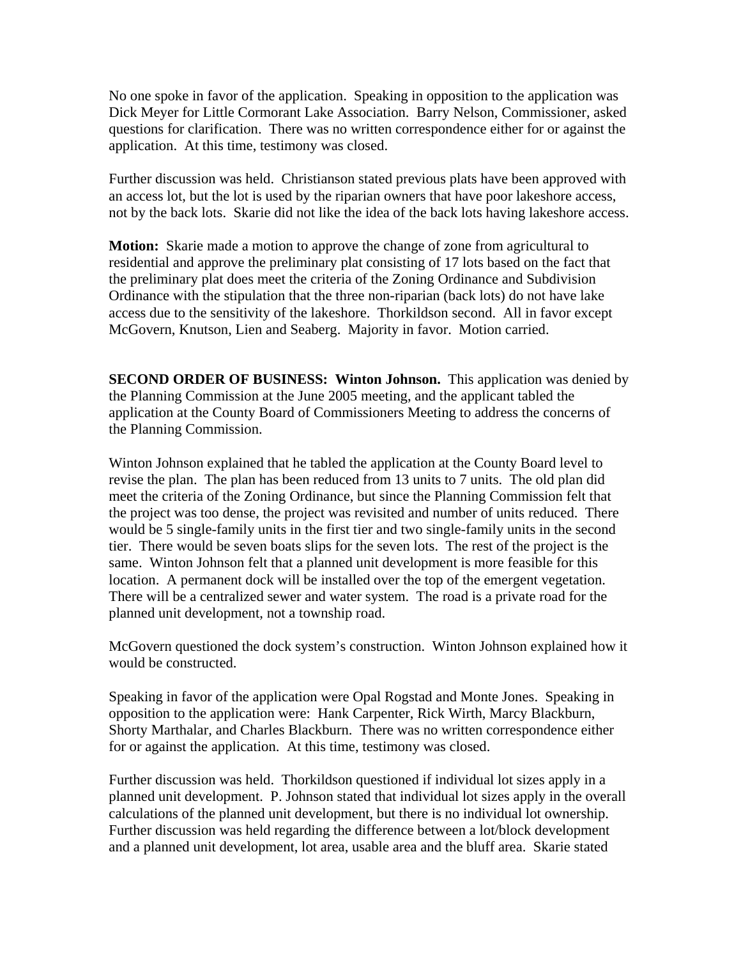No one spoke in favor of the application. Speaking in opposition to the application was Dick Meyer for Little Cormorant Lake Association. Barry Nelson, Commissioner, asked questions for clarification. There was no written correspondence either for or against the application. At this time, testimony was closed.

Further discussion was held. Christianson stated previous plats have been approved with an access lot, but the lot is used by the riparian owners that have poor lakeshore access, not by the back lots. Skarie did not like the idea of the back lots having lakeshore access.

**Motion:** Skarie made a motion to approve the change of zone from agricultural to residential and approve the preliminary plat consisting of 17 lots based on the fact that the preliminary plat does meet the criteria of the Zoning Ordinance and Subdivision Ordinance with the stipulation that the three non-riparian (back lots) do not have lake access due to the sensitivity of the lakeshore. Thorkildson second. All in favor except McGovern, Knutson, Lien and Seaberg. Majority in favor. Motion carried.

**SECOND ORDER OF BUSINESS: Winton Johnson.** This application was denied by the Planning Commission at the June 2005 meeting, and the applicant tabled the application at the County Board of Commissioners Meeting to address the concerns of the Planning Commission.

Winton Johnson explained that he tabled the application at the County Board level to revise the plan. The plan has been reduced from 13 units to 7 units. The old plan did meet the criteria of the Zoning Ordinance, but since the Planning Commission felt that the project was too dense, the project was revisited and number of units reduced. There would be 5 single-family units in the first tier and two single-family units in the second tier. There would be seven boats slips for the seven lots. The rest of the project is the same. Winton Johnson felt that a planned unit development is more feasible for this location. A permanent dock will be installed over the top of the emergent vegetation. There will be a centralized sewer and water system. The road is a private road for the planned unit development, not a township road.

McGovern questioned the dock system's construction. Winton Johnson explained how it would be constructed.

Speaking in favor of the application were Opal Rogstad and Monte Jones. Speaking in opposition to the application were: Hank Carpenter, Rick Wirth, Marcy Blackburn, Shorty Marthalar, and Charles Blackburn. There was no written correspondence either for or against the application. At this time, testimony was closed.

Further discussion was held. Thorkildson questioned if individual lot sizes apply in a planned unit development. P. Johnson stated that individual lot sizes apply in the overall calculations of the planned unit development, but there is no individual lot ownership. Further discussion was held regarding the difference between a lot/block development and a planned unit development, lot area, usable area and the bluff area. Skarie stated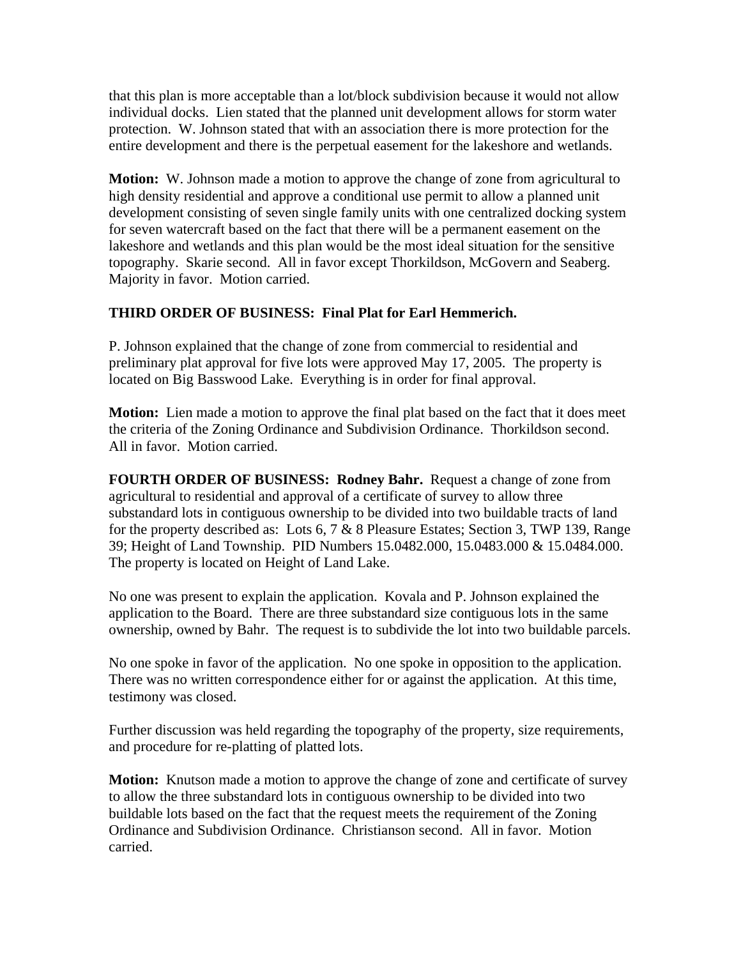that this plan is more acceptable than a lot/block subdivision because it would not allow individual docks. Lien stated that the planned unit development allows for storm water protection. W. Johnson stated that with an association there is more protection for the entire development and there is the perpetual easement for the lakeshore and wetlands.

**Motion:** W. Johnson made a motion to approve the change of zone from agricultural to high density residential and approve a conditional use permit to allow a planned unit development consisting of seven single family units with one centralized docking system for seven watercraft based on the fact that there will be a permanent easement on the lakeshore and wetlands and this plan would be the most ideal situation for the sensitive topography. Skarie second. All in favor except Thorkildson, McGovern and Seaberg. Majority in favor. Motion carried.

## **THIRD ORDER OF BUSINESS: Final Plat for Earl Hemmerich.**

P. Johnson explained that the change of zone from commercial to residential and preliminary plat approval for five lots were approved May 17, 2005. The property is located on Big Basswood Lake. Everything is in order for final approval.

**Motion:** Lien made a motion to approve the final plat based on the fact that it does meet the criteria of the Zoning Ordinance and Subdivision Ordinance. Thorkildson second. All in favor. Motion carried.

**FOURTH ORDER OF BUSINESS: Rodney Bahr.** Request a change of zone from agricultural to residential and approval of a certificate of survey to allow three substandard lots in contiguous ownership to be divided into two buildable tracts of land for the property described as: Lots 6, 7 & 8 Pleasure Estates; Section 3, TWP 139, Range 39; Height of Land Township. PID Numbers 15.0482.000, 15.0483.000 & 15.0484.000. The property is located on Height of Land Lake.

No one was present to explain the application. Kovala and P. Johnson explained the application to the Board. There are three substandard size contiguous lots in the same ownership, owned by Bahr. The request is to subdivide the lot into two buildable parcels.

No one spoke in favor of the application. No one spoke in opposition to the application. There was no written correspondence either for or against the application. At this time, testimony was closed.

Further discussion was held regarding the topography of the property, size requirements, and procedure for re-platting of platted lots.

**Motion:** Knutson made a motion to approve the change of zone and certificate of survey to allow the three substandard lots in contiguous ownership to be divided into two buildable lots based on the fact that the request meets the requirement of the Zoning Ordinance and Subdivision Ordinance. Christianson second. All in favor. Motion carried.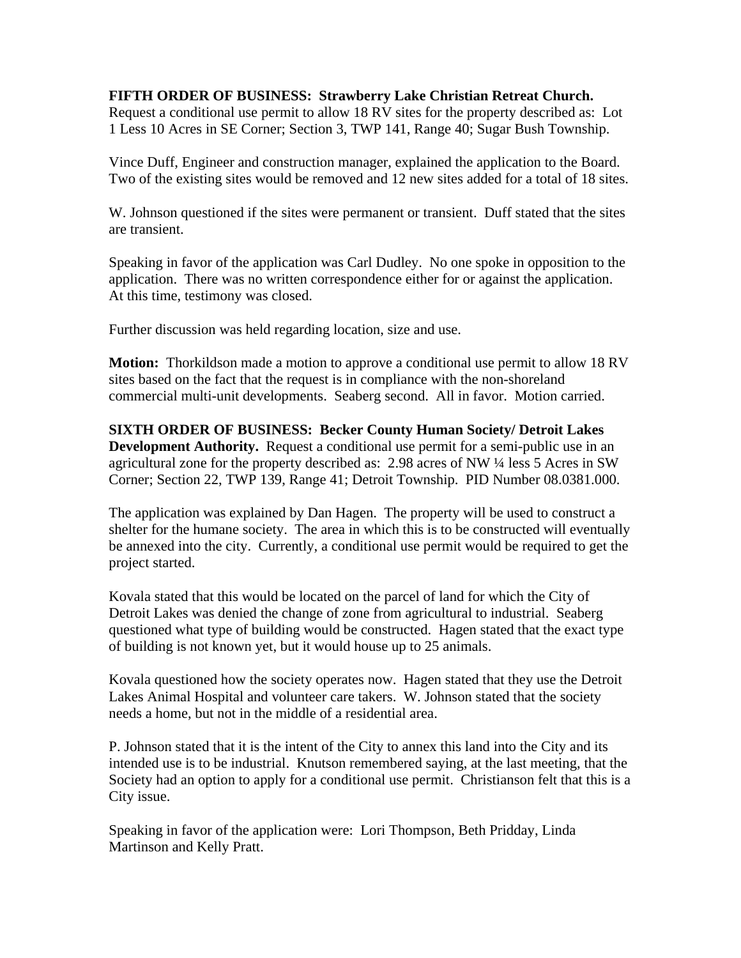## **FIFTH ORDER OF BUSINESS: Strawberry Lake Christian Retreat Church.**

Request a conditional use permit to allow 18 RV sites for the property described as: Lot 1 Less 10 Acres in SE Corner; Section 3, TWP 141, Range 40; Sugar Bush Township.

Vince Duff, Engineer and construction manager, explained the application to the Board. Two of the existing sites would be removed and 12 new sites added for a total of 18 sites.

W. Johnson questioned if the sites were permanent or transient. Duff stated that the sites are transient.

Speaking in favor of the application was Carl Dudley. No one spoke in opposition to the application. There was no written correspondence either for or against the application. At this time, testimony was closed.

Further discussion was held regarding location, size and use.

**Motion:** Thorkildson made a motion to approve a conditional use permit to allow 18 RV sites based on the fact that the request is in compliance with the non-shoreland commercial multi-unit developments. Seaberg second. All in favor. Motion carried.

**SIXTH ORDER OF BUSINESS: Becker County Human Society/ Detroit Lakes Development Authority.** Request a conditional use permit for a semi-public use in an agricultural zone for the property described as: 2.98 acres of NW ¼ less 5 Acres in SW Corner; Section 22, TWP 139, Range 41; Detroit Township. PID Number 08.0381.000.

The application was explained by Dan Hagen. The property will be used to construct a shelter for the humane society. The area in which this is to be constructed will eventually be annexed into the city. Currently, a conditional use permit would be required to get the project started.

Kovala stated that this would be located on the parcel of land for which the City of Detroit Lakes was denied the change of zone from agricultural to industrial. Seaberg questioned what type of building would be constructed. Hagen stated that the exact type of building is not known yet, but it would house up to 25 animals.

Kovala questioned how the society operates now. Hagen stated that they use the Detroit Lakes Animal Hospital and volunteer care takers. W. Johnson stated that the society needs a home, but not in the middle of a residential area.

P. Johnson stated that it is the intent of the City to annex this land into the City and its intended use is to be industrial. Knutson remembered saying, at the last meeting, that the Society had an option to apply for a conditional use permit. Christianson felt that this is a City issue.

Speaking in favor of the application were: Lori Thompson, Beth Pridday, Linda Martinson and Kelly Pratt.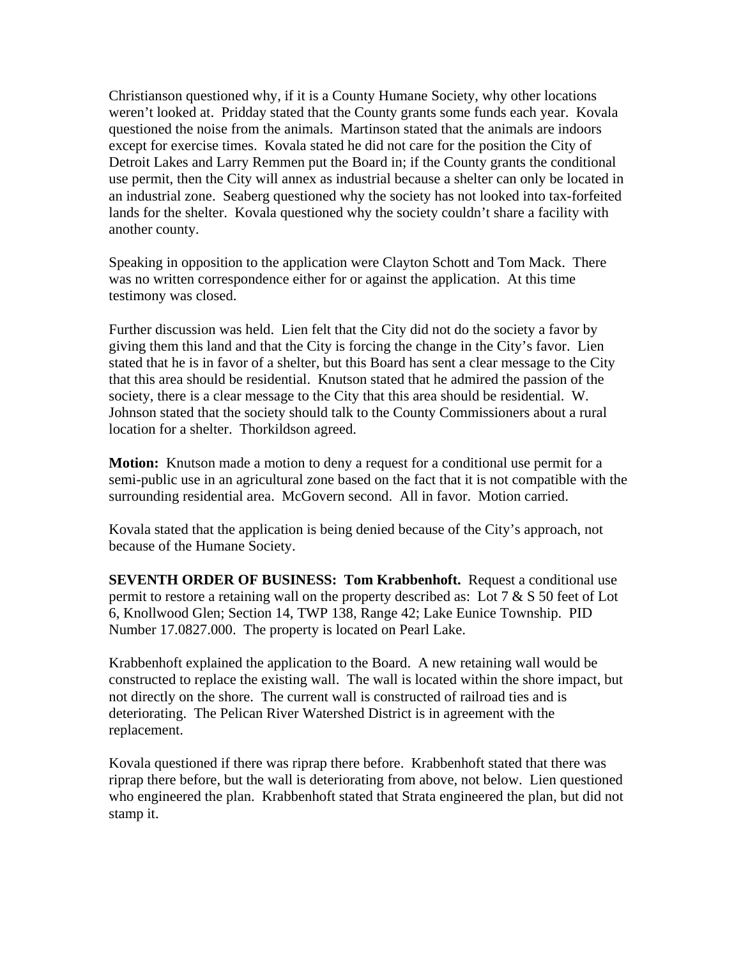Christianson questioned why, if it is a County Humane Society, why other locations weren't looked at. Pridday stated that the County grants some funds each year. Kovala questioned the noise from the animals. Martinson stated that the animals are indoors except for exercise times. Kovala stated he did not care for the position the City of Detroit Lakes and Larry Remmen put the Board in; if the County grants the conditional use permit, then the City will annex as industrial because a shelter can only be located in an industrial zone. Seaberg questioned why the society has not looked into tax-forfeited lands for the shelter. Kovala questioned why the society couldn't share a facility with another county.

Speaking in opposition to the application were Clayton Schott and Tom Mack. There was no written correspondence either for or against the application. At this time testimony was closed.

Further discussion was held. Lien felt that the City did not do the society a favor by giving them this land and that the City is forcing the change in the City's favor. Lien stated that he is in favor of a shelter, but this Board has sent a clear message to the City that this area should be residential. Knutson stated that he admired the passion of the society, there is a clear message to the City that this area should be residential. W. Johnson stated that the society should talk to the County Commissioners about a rural location for a shelter. Thorkildson agreed.

**Motion:** Knutson made a motion to deny a request for a conditional use permit for a semi-public use in an agricultural zone based on the fact that it is not compatible with the surrounding residential area. McGovern second. All in favor. Motion carried.

Kovala stated that the application is being denied because of the City's approach, not because of the Humane Society.

**SEVENTH ORDER OF BUSINESS: Tom Krabbenhoft.** Request a conditional use permit to restore a retaining wall on the property described as: Lot 7 & S 50 feet of Lot 6, Knollwood Glen; Section 14, TWP 138, Range 42; Lake Eunice Township. PID Number 17.0827.000. The property is located on Pearl Lake.

Krabbenhoft explained the application to the Board. A new retaining wall would be constructed to replace the existing wall. The wall is located within the shore impact, but not directly on the shore. The current wall is constructed of railroad ties and is deteriorating. The Pelican River Watershed District is in agreement with the replacement.

Kovala questioned if there was riprap there before. Krabbenhoft stated that there was riprap there before, but the wall is deteriorating from above, not below. Lien questioned who engineered the plan. Krabbenhoft stated that Strata engineered the plan, but did not stamp it.